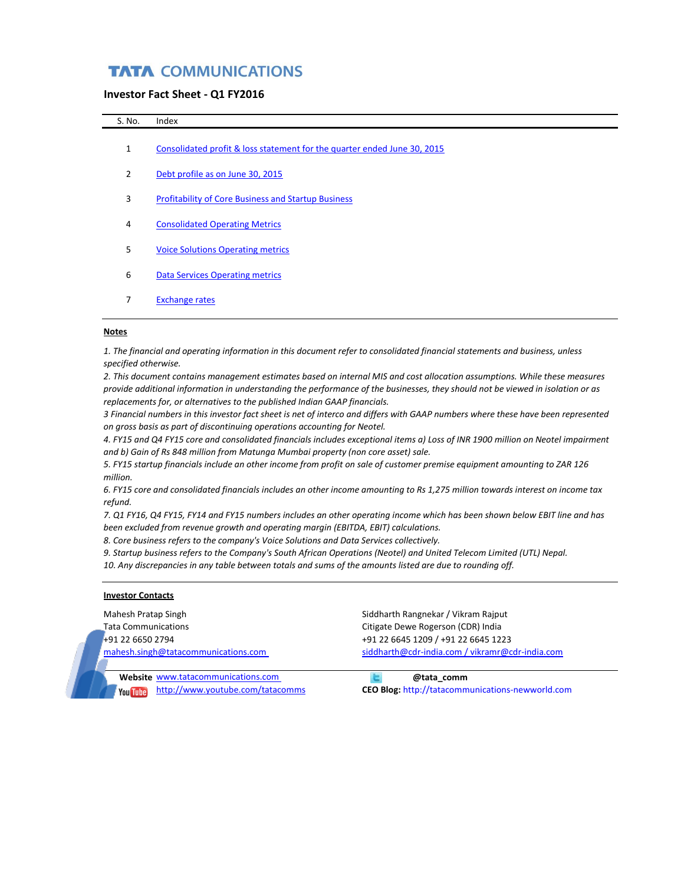## **TATA COMMUNICATIONS**

## **Investor Fact Sheet - Q1 FY2016**

| S. No.       | Index                                                                    |
|--------------|--------------------------------------------------------------------------|
| $\mathbf{1}$ | Consolidated profit & loss statement for the quarter ended June 30, 2015 |
| 2            | Debt profile as on June 30, 2015                                         |
| 3            | <b>Profitability of Core Business and Startup Business</b>               |
| 4            | <b>Consolidated Operating Metrics</b>                                    |
| 5            | <b>Voice Solutions Operating metrics</b>                                 |
| 6            | <b>Data Services Operating metrics</b>                                   |
|              | <b>Exchange rates</b>                                                    |

## **Notes**

*1. The financial and operating information in this document refer to consolidated financial statements and business, unless specified otherwise.* 

*2. This document contains management estimates based on internal MIS and cost allocation assumptions. While these measures provide additional information in understanding the performance of the businesses, they should not be viewed in isolation or as replacements for, or alternatives to the published Indian GAAP financials.*

*3 Financial numbers in this investor fact sheet is net of interco and differs with GAAP numbers where these have been represented on gross basis as part of discontinuing operations accounting for Neotel.* 

*4. FY15 and Q4 FY15 core and consolidated financials includes exceptional items a) Loss of INR 1900 million on Neotel impairment and b) Gain of Rs 848 million from Matunga Mumbai property (non core asset) sale.* 

*5. FY15 startup financials include an other income from profit on sale of customer premise equipment amounting to ZAR 126 million.*

*6. FY15 core and consolidated financials includes an other income amounting to Rs 1,275 million towards interest on income tax refund.* 

*7. Q1 FY16, Q4 FY15, FY14 and FY15 numbers includes an other operating income which has been shown below EBIT line and has been excluded from revenue growth and operating margin (EBITDA, EBIT) calculations.* 

*8. Core business refers to the company's Voice Solutions and Data Services collectively.* 

*9. Startup business refers to the Company's South African Operations (Neotel) and United Telecom Limited (UTL) Nepal.*

*10. Any discrepancies in any table between totals and sums of the amounts listed are due to rounding off.*

## **Investor Contacts**

Mahesh Pratap Singh Siddharth Rangnekar / Vikram Rajput Tata Communications Citigate Dewe Rogerson (CDR) India +91 22 6650 2794 +91 22 6645 1209 / +91 22 6645 1223

[mahesh.singh@tatacommunications.com](mailto:mahesh.singh@tatacommunications.com) [siddharth@cdr-india.com / vikramr@cdr-india.com](mailto:siddharth@cdr-india.com%20/)

**Website** [www.tatacommunications.com](http://www.tatacommunications.com/) **buying the comm in the comm of the comm of the comm of the comm of the comm of the comm of the comm of the communications.com** 

<http://www.youtube.com/tatacomms> **CEO Blog:** http://tatacommunications-newworld.com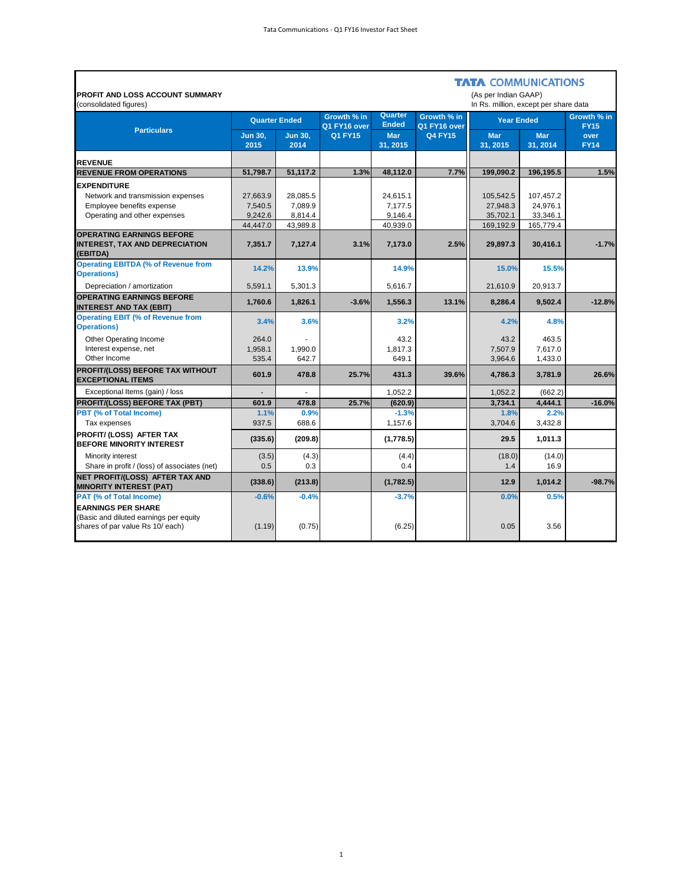| <b>PROFIT AND LOSS ACCOUNT SUMMARY</b><br>(consolidated figures)                                        |                        |                        |                             |                         |                             | <b>TATA COMMUNICATIONS</b><br>(As per Indian GAAP)<br>In Rs. million, except per share data |                       |                            |
|---------------------------------------------------------------------------------------------------------|------------------------|------------------------|-----------------------------|-------------------------|-----------------------------|---------------------------------------------------------------------------------------------|-----------------------|----------------------------|
|                                                                                                         | <b>Quarter Ended</b>   |                        | Growth % in<br>Q1 FY16 over | Quarter<br><b>Ended</b> | Growth % in<br>Q1 FY16 over | <b>Year Ended</b>                                                                           |                       | Growth % in<br><b>FY15</b> |
| <b>Particulars</b>                                                                                      | <b>Jun 30,</b><br>2015 | <b>Jun 30.</b><br>2014 | <b>Q1 FY15</b>              | <b>Mar</b><br>31.2015   | <b>Q4 FY15</b>              | <b>Mar</b><br>31.2015                                                                       | <b>Mar</b><br>31.2014 | over<br><b>FY14</b>        |
| <b>REVENUE</b>                                                                                          |                        |                        |                             |                         |                             |                                                                                             |                       |                            |
| <b>REVENUE FROM OPERATIONS</b>                                                                          | 51.798.7               | 51.117.2               | 1.3%                        | 48.112.0                | 7.7%                        | 199.090.2                                                                                   | 196.195.5             | 1.5%                       |
| <b>EXPENDITURE</b>                                                                                      |                        |                        |                             |                         |                             |                                                                                             |                       |                            |
| Network and transmission expenses                                                                       | 27,663.9               | 28,085.5               |                             | 24,615.1                |                             | 105,542.5                                                                                   | 107,457.2             |                            |
| Employee benefits expense                                                                               | 7,540.5                | 7,089.9                |                             | 7,177.5                 |                             | 27,948.3                                                                                    | 24,976.1              |                            |
| Operating and other expenses                                                                            | 9,242.6                | 8,814.4                |                             | 9,146.4                 |                             | 35,702.1                                                                                    | 33,346.1              |                            |
| <b>OPERATING EARNINGS BEFORE</b>                                                                        | 44,447.0               | 43,989.8               |                             | 40,939.0                |                             | 169,192.9                                                                                   | 165,779.4             |                            |
| <b>INTEREST, TAX AND DEPRECIATION</b><br>(EBITDA)                                                       | 7,351.7                | 7,127.4                | 3.1%                        | 7,173.0                 | 2.5%                        | 29,897.3                                                                                    | 30,416.1              | $-1.7%$                    |
| <b>Operating EBITDA (% of Revenue from</b><br><b>Operations)</b>                                        | 14.2%                  | 13.9%                  |                             | 14.9%                   |                             | 15.0%                                                                                       | 15.5%                 |                            |
| Depreciation / amortization                                                                             | 5,591.1                | 5,301.3                |                             | 5,616.7                 |                             | 21,610.9                                                                                    | 20,913.7              |                            |
| <b>OPERATING EARNINGS BEFORE</b><br><b>INTEREST AND TAX (EBIT)</b>                                      | 1,760.6                | 1,826.1                | $-3.6%$                     | 1,556.3                 | 13.1%                       | 8,286.4                                                                                     | 9,502.4               | $-12.8%$                   |
| <b>Operating EBIT (% of Revenue from</b><br><b>Operations)</b>                                          | 3.4%                   | 3.6%                   |                             | 3.2%                    |                             | 4.2%                                                                                        | 4.8%                  |                            |
| Other Operating Income                                                                                  | 264.0                  |                        |                             | 43.2                    |                             | 43.2                                                                                        | 463.5                 |                            |
| Interest expense, net                                                                                   | 1.958.1                | 1.990.0                |                             | 1.817.3                 |                             | 7.507.9                                                                                     | 7.617.0               |                            |
| Other Income                                                                                            | 535.4                  | 642.7                  |                             | 649.1                   |                             | 3,964.6                                                                                     | 1,433.0               |                            |
| <b>PROFIT/(LOSS) BEFORE TAX WITHOUT</b><br><b>EXCEPTIONAL ITEMS</b>                                     | 601.9                  | 478.8                  | 25.7%                       | 431.3                   | 39.6%                       | 4,786.3                                                                                     | 3,781.9               | 26.6%                      |
| Exceptional Items (gain) / loss                                                                         |                        |                        |                             | 1,052.2                 |                             | 1,052.2                                                                                     | (662.2)               |                            |
| <b>PROFIT/(LOSS) BEFORE TAX (PBT)</b>                                                                   | 601.9                  | 478.8                  | 25.7%                       | (620.9)                 |                             | 3,734.1                                                                                     | 4.444.1               | $-16.0%$                   |
| PBT (% of Total Income)<br>Tax expenses                                                                 | 1.1%<br>937.5          | 0.9%<br>688.6          |                             | $-1.3%$<br>1,157.6      |                             | 1.8%<br>3.704.6                                                                             | 2.2%<br>3,432.8       |                            |
| PROFIT/ (LOSS) AFTER TAX<br><b>BEFORE MINORITY INTEREST</b>                                             | (335.6)                | (209.8)                |                             | (1,778.5)               |                             | 29.5                                                                                        | 1,011.3               |                            |
| Minority interest                                                                                       | (3.5)                  | (4.3)                  |                             | (4.4)                   |                             | (18.0)                                                                                      | (14.0)                |                            |
| Share in profit / (loss) of associates (net)                                                            | 0.5                    | 0.3                    |                             | 0.4                     |                             | 1.4                                                                                         | 16.9                  |                            |
| NET PROFIT/(LOSS) AFTER TAX AND<br><b>MINORITY INTEREST (PAT)</b>                                       | (338.6)                | (213.8)                |                             | (1,782.5)               |                             | 12.9                                                                                        | 1,014.2               | $-98.7%$                   |
| <b>PAT (% of Total Income)</b>                                                                          | $-0.6%$                | $-0.4%$                |                             | $-3.7%$                 |                             | 0.0%                                                                                        | 0.5%                  |                            |
| <b>EARNINGS PER SHARE</b><br>(Basic and diluted earnings per equity<br>shares of par value Rs 10/ each) | (1.19)                 | (0.75)                 |                             | (6.25)                  |                             | 0.05                                                                                        | 3.56                  |                            |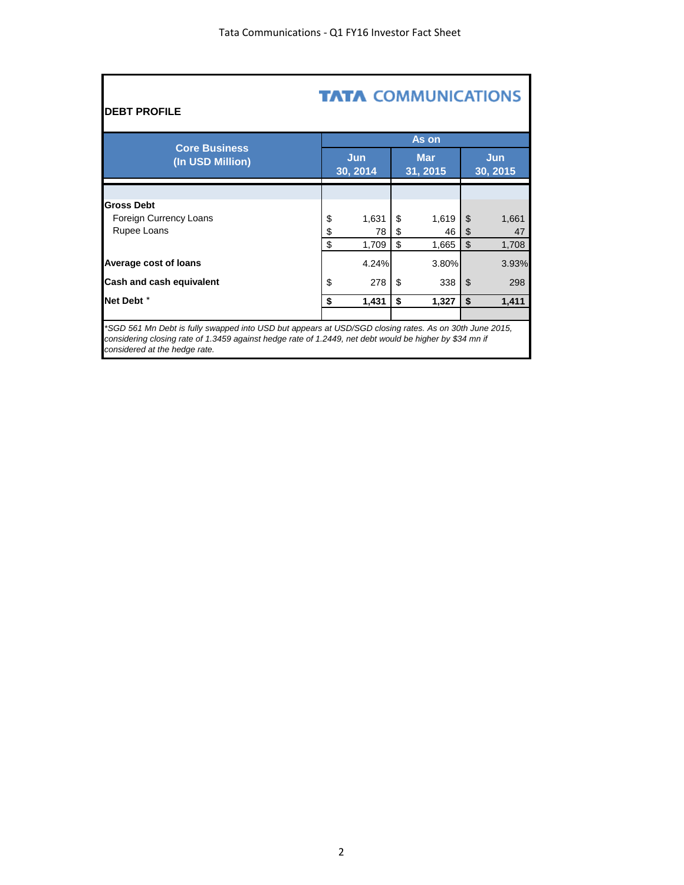| <b>TATA COMMUNICATIONS</b><br><b>DEBT PROFILE</b>                                                                                                                                                                 |    |                 |    |                        |    |                        |  |  |  |
|-------------------------------------------------------------------------------------------------------------------------------------------------------------------------------------------------------------------|----|-----------------|----|------------------------|----|------------------------|--|--|--|
|                                                                                                                                                                                                                   |    |                 |    | As on                  |    |                        |  |  |  |
| <b>Core Business</b><br>(In USD Million)                                                                                                                                                                          |    | Jun<br>30, 2014 |    | <b>Mar</b><br>31, 2015 |    | <b>Jun</b><br>30, 2015 |  |  |  |
|                                                                                                                                                                                                                   |    |                 |    |                        |    |                        |  |  |  |
| <b>Gross Debt</b>                                                                                                                                                                                                 |    |                 |    |                        |    |                        |  |  |  |
| Foreign Currency Loans                                                                                                                                                                                            | \$ | 1,631           | \$ | 1,619                  | \$ | 1,661                  |  |  |  |
| Rupee Loans                                                                                                                                                                                                       | \$ | 78              | \$ | 46                     | \$ | 47                     |  |  |  |
|                                                                                                                                                                                                                   | \$ | 1,709           | \$ | 1,665                  | \$ | 1,708                  |  |  |  |
| Average cost of loans                                                                                                                                                                                             |    | 4.24%           |    | 3.80%                  |    | 3.93%                  |  |  |  |
| Cash and cash equivalent                                                                                                                                                                                          | \$ | 278             | \$ | 338                    | \$ | 298                    |  |  |  |
| Net Debt <sup>*</sup>                                                                                                                                                                                             | \$ | 1,431           | \$ | 1,327                  | \$ | 1,411                  |  |  |  |
| *SGD 561 Mn Debt is fully swapped into USD but appears at USD/SGD closing rates. As on 30th June 2015,<br>considering closing rate of 1.3459 against hedge rate of 1.2449, net debt would be higher by \$34 mn if |    |                 |    |                        |    |                        |  |  |  |

*considered at the hedge rate.*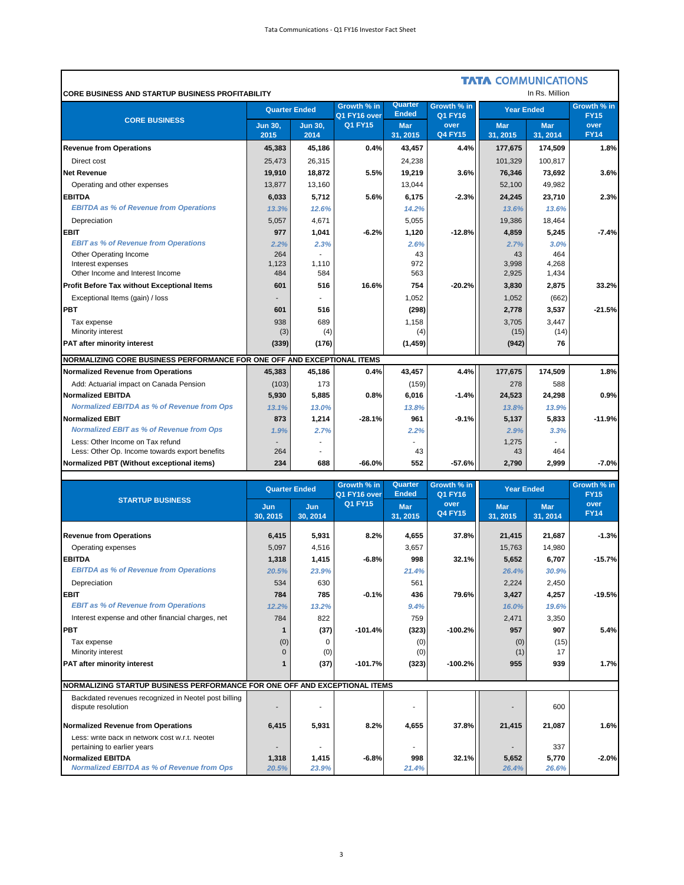'n

|                                                                         |                        |                        |                             |                         |                        | <b>TATA COMMUNICATIONS</b> |                        |                            |
|-------------------------------------------------------------------------|------------------------|------------------------|-----------------------------|-------------------------|------------------------|----------------------------|------------------------|----------------------------|
| <b>CORE BUSINESS AND STARTUP BUSINESS PROFITABILITY</b>                 |                        |                        |                             |                         |                        |                            | In Rs. Million         |                            |
| <b>CORE BUSINESS</b>                                                    | <b>Quarter Ended</b>   |                        | Growth % in<br>Q1 FY16 over | Quarter<br><b>Ended</b> | Growth % in<br>Q1 FY16 | <b>Year Ended</b>          |                        | Growth % in<br><b>FY15</b> |
|                                                                         | <b>Jun 30,</b><br>2015 | <b>Jun 30.</b><br>2014 | <b>Q1 FY15</b>              | <b>Mar</b><br>31, 2015  | over<br><b>Q4 FY15</b> | <b>Mar</b><br>31, 2015     | <b>Mar</b><br>31, 2014 | over<br><b>FY14</b>        |
| <b>Revenue from Operations</b>                                          | 45,383                 | 45,186                 | 0.4%                        | 43,457                  | 4.4%                   | 177,675                    | 174,509                | 1.8%                       |
| Direct cost                                                             | 25,473                 | 26,315                 |                             | 24,238                  |                        | 101,329                    | 100,817                |                            |
| <b>Net Revenue</b>                                                      | 19,910                 | 18,872                 | 5.5%                        | 19,219                  | 3.6%                   | 76,346                     | 73,692                 | 3.6%                       |
| Operating and other expenses                                            | 13,877                 | 13,160                 |                             | 13,044                  |                        | 52,100                     | 49,982                 |                            |
| <b>EBITDA</b>                                                           | 6,033                  | 5,712                  | 5.6%                        | 6,175                   | $-2.3%$                | 24,245                     | 23,710                 | 2.3%                       |
| <b>EBITDA as % of Revenue from Operations</b>                           | 13.3%                  | 12.6%                  |                             | 14.2%                   |                        | 13.6%                      | 13.6%                  |                            |
| Depreciation                                                            | 5,057                  | 4.671                  |                             | 5,055                   |                        | 19,386                     | 18,464                 |                            |
| <b>EBIT</b>                                                             | 977                    | 1,041                  | $-6.2%$                     | 1,120                   | $-12.8%$               | 4,859                      | 5,245                  | $-7.4%$                    |
| <b>EBIT as % of Revenue from Operations</b>                             | 2.2%                   | 2.3%                   |                             | 2.6%                    |                        | 2.7%                       | 3.0%                   |                            |
| Other Operating Income                                                  | 264                    |                        |                             | 43                      |                        | 43                         | 464                    |                            |
| Interest expenses                                                       | 1,123                  | 1,110                  |                             | 972                     |                        | 3,998                      | 4,268                  |                            |
| Other Income and Interest Income                                        | 484                    | 584                    |                             | 563                     |                        | 2,925                      | 1,434                  |                            |
| Profit Before Tax without Exceptional Items                             | 601                    | 516                    | 16.6%                       | 754                     | $-20.2%$               | 3,830                      | 2,875                  | 33.2%                      |
| Exceptional Items (gain) / loss                                         |                        |                        |                             | 1,052                   |                        | 1,052                      | (662)                  |                            |
| <b>PBT</b>                                                              | 601                    | 516                    |                             | (298)                   |                        | 2,778                      | 3,537                  | $-21.5%$                   |
| Tax expense                                                             | 938                    | 689                    |                             | 1,158                   |                        | 3,705                      | 3,447                  |                            |
| Minority interest                                                       | (3)                    | (4)                    |                             | (4)                     |                        | (15)                       | (14)                   |                            |
| <b>PAT after minority interest</b>                                      | (339)                  | (176)                  |                             | (1, 459)                |                        | (942)                      | 76                     |                            |
| NORMALIZING CORE BUSINESS PERFORMANCE FOR ONE OFF AND EXCEPTIONAL ITEMS |                        |                        |                             |                         |                        |                            |                        |                            |
| <b>Normalized Revenue from Operations</b>                               | 45,383                 | 45,186                 | 0.4%                        | 43,457                  | 4.4%                   | 177,675                    | 174,509                | 1.8%                       |
| Add: Actuarial impact on Canada Pension                                 | (103)                  | 173                    |                             | (159)                   |                        | 278                        | 588                    |                            |
| <b>Normalized EBITDA</b>                                                | 5,930                  | 5,885                  | 0.8%                        | 6,016                   | $-1.4%$                | 24,523                     | 24,298                 | 0.9%                       |
| <b>Normalized EBITDA as % of Revenue from Ops</b>                       | 13.1%                  | 13.0%                  |                             | 13.8%                   |                        | 13.8%                      | 13.9%                  |                            |
| <b>Normalized EBIT</b>                                                  | 873                    | 1,214                  | $-28.1%$                    | 961                     | $-9.1%$                | 5,137                      | 5,833                  | $-11.9%$                   |
| <b>Normalized EBIT as % of Revenue from Ops</b>                         | 1.9%                   | 2.7%                   |                             | 2.2%                    |                        | 2.9%                       | 3.3%                   |                            |
| Less: Other Income on Tax refund                                        |                        |                        |                             |                         |                        | 1,275                      |                        |                            |
| Less: Other Op. Income towards export benefits                          | 264                    |                        |                             | 43                      |                        | 43                         | 464                    |                            |
| Normalized PBT (Without exceptional items)                              | 234                    | 688                    | -66.0%                      | 552                     | $-57.6%$               | 2,790                      | 2.999                  | $-7.0%$                    |

|                                                                               | <b>Quarter Ended</b> |                 | Growth % in<br>Q1 FY16 over | Quarter<br><b>Ended</b> | Growth % in<br>Q1 FY16 | <b>Year Ended</b> |                        | Growth % in<br><b>FY15</b> |  |
|-------------------------------------------------------------------------------|----------------------|-----------------|-----------------------------|-------------------------|------------------------|-------------------|------------------------|----------------------------|--|
| <b>STARTUP BUSINESS</b>                                                       | Jun<br>30, 2015      | Jun<br>30, 2014 | <b>Q1 FY15</b>              | <b>Mar</b><br>31, 2015  | over<br><b>Q4 FY15</b> | Mar<br>31, 2015   | <b>Mar</b><br>31, 2014 | over<br><b>FY14</b>        |  |
| <b>Revenue from Operations</b>                                                | 6,415                | 5,931           | 8.2%                        | 4,655                   | 37.8%                  | 21,415            | 21,687                 | $-1.3%$                    |  |
| Operating expenses                                                            | 5.097                | 4,516           |                             | 3,657                   |                        | 15,763            | 14.980                 |                            |  |
| <b>EBITDA</b>                                                                 | 1,318                | 1,415           | $-6.8%$                     | 998                     | 32.1%                  | 5,652             | 6.707                  | $-15.7%$                   |  |
| <b>EBITDA as % of Revenue from Operations</b>                                 | 20.5%                | 23.9%           |                             | 21.4%                   |                        | 26.4%             | 30.9%                  |                            |  |
| Depreciation                                                                  | 534                  | 630             |                             | 561                     |                        | 2,224             | 2,450                  |                            |  |
| <b>EBIT</b>                                                                   | 784                  | 785             | $-0.1%$                     | 436                     | 79.6%                  | 3,427             | 4,257                  | $-19.5%$                   |  |
| <b>EBIT as % of Revenue from Operations</b>                                   | 12.2%                | 13.2%           |                             | 9.4%                    |                        | 16.0%             | 19.6%                  |                            |  |
| Interest expense and other financial charges, net                             | 784                  | 822             |                             | 759                     |                        | 2,471             | 3,350                  |                            |  |
| <b>PBT</b>                                                                    |                      | (37)            | $-101.4%$                   | (323)                   | $-100.2%$              | 957               | 907                    | 5.4%                       |  |
| Tax expense                                                                   | (0)                  |                 |                             | (0)                     |                        | (0)               | (15)                   |                            |  |
| Minority interest                                                             |                      | (0)             |                             | (0)                     |                        | (1)               | 17                     |                            |  |
| <b>PAT after minority interest</b>                                            |                      | (37)            | $-101.7%$                   | (323)                   | $-100.2%$              | 955               | 939                    | 1.7%                       |  |
| NORMALIZING STARTUP BUSINESS PERFORMANCE FOR ONE OFF AND EXCEPTIONAL ITEMS    |                      |                 |                             |                         |                        |                   |                        |                            |  |
| Backdated revenues recognized in Neotel post billing<br>dispute resolution    |                      |                 |                             |                         |                        |                   | 600                    |                            |  |
| Normalized Revenue from Operations                                            | 6,415                | 5,931           | 8.2%                        | 4,655                   | 37.8%                  | 21,415            | 21,087                 | 1.6%                       |  |
| Less: write back in network cost w.r.t. Neotel<br>pertaining to earlier years |                      |                 |                             |                         |                        |                   | 337                    |                            |  |
| <b>Normalized EBITDA</b><br><b>Normalized EBITDA as % of Revenue from Ops</b> | 1,318<br>20.5%       | 1,415<br>23.9%  | $-6.8%$                     | 998<br>21.4%            | 32.1%                  | 5,652<br>26.4%    | 5,770<br>26.6%         | $-2.0%$                    |  |

3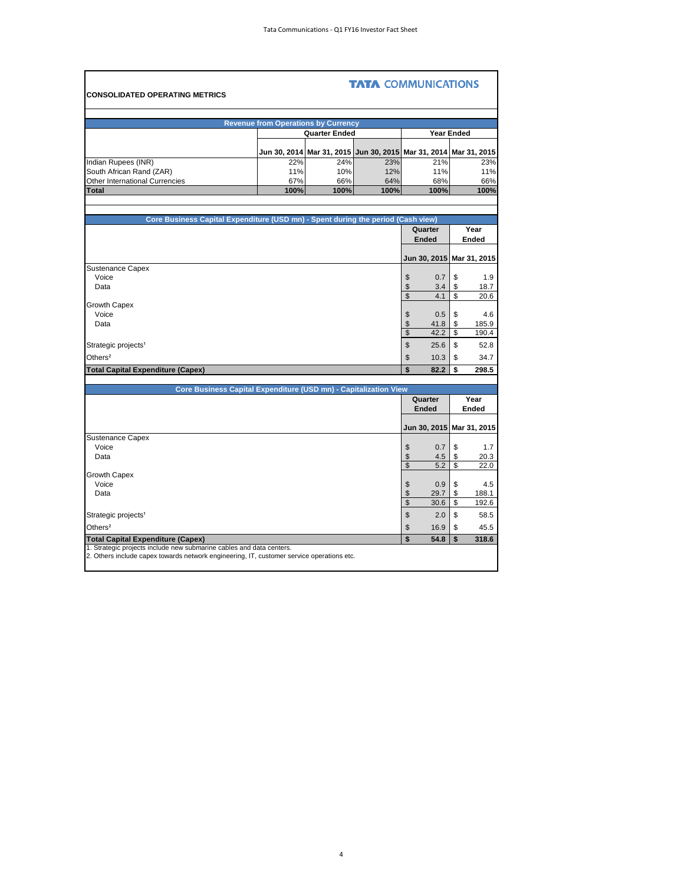Ŧ.

|                                                                                  |                                                                  |                                                                  | <b>TATA COMMUNICATIONS</b> |                           |                   |
|----------------------------------------------------------------------------------|------------------------------------------------------------------|------------------------------------------------------------------|----------------------------|---------------------------|-------------------|
| <b>CONSOLIDATED OPERATING METRICS</b>                                            |                                                                  |                                                                  |                            |                           |                   |
|                                                                                  |                                                                  |                                                                  |                            |                           |                   |
|                                                                                  | <b>Revenue from Operations by Currency</b>                       |                                                                  |                            |                           |                   |
|                                                                                  |                                                                  | <b>Quarter Ended</b>                                             |                            |                           | <b>Year Ended</b> |
|                                                                                  |                                                                  | Jun 30, 2014 Mar 31, 2015 Jun 30, 2015 Mar 31, 2014 Mar 31, 2015 |                            |                           |                   |
| Indian Rupees (INR)                                                              | 22%                                                              | 24%                                                              | 23%                        | 21%                       | 23%               |
| South African Rand (ZAR)                                                         | 11%                                                              | 10%                                                              | 12%                        | 11%                       | 11%               |
| Other International Currencies                                                   | 67%                                                              | 66%                                                              | 64%                        | 68%                       | 66%               |
| <b>Total</b>                                                                     | 100%                                                             | 100%                                                             | 100%                       | 100%                      | 100%              |
|                                                                                  |                                                                  |                                                                  |                            |                           |                   |
|                                                                                  |                                                                  |                                                                  |                            |                           |                   |
| Core Business Capital Expenditure (USD mn) - Spent during the period (Cash view) |                                                                  |                                                                  |                            | Quarter                   | Year              |
|                                                                                  |                                                                  |                                                                  |                            | <b>Ended</b>              | Ended             |
|                                                                                  |                                                                  |                                                                  |                            |                           |                   |
|                                                                                  |                                                                  |                                                                  |                            | Jun 30, 2015 Mar 31, 2015 |                   |
| <b>Sustenance Capex</b>                                                          |                                                                  |                                                                  |                            |                           |                   |
| Voice                                                                            |                                                                  |                                                                  |                            | \$<br>0.7                 | \$<br>1.9         |
| Data                                                                             |                                                                  |                                                                  |                            | \$<br>3.4                 | 18.7<br>\$        |
|                                                                                  |                                                                  |                                                                  |                            | $\mathbb{S}$<br>4.1       | \$<br>20.6        |
| <b>Growth Capex</b>                                                              |                                                                  |                                                                  |                            |                           |                   |
| Voice                                                                            |                                                                  |                                                                  |                            | 0.5<br>\$                 | \$<br>4.6         |
| Data                                                                             |                                                                  |                                                                  |                            | \$<br>41.8                | \$<br>185.9       |
|                                                                                  |                                                                  |                                                                  |                            | $\mathsf{\$}$<br>42.2     | \$<br>190.4       |
| Strategic projects <sup>1</sup>                                                  |                                                                  |                                                                  |                            | \$<br>25.6                | \$<br>52.8        |
| Others <sup>2</sup>                                                              |                                                                  |                                                                  |                            | 10.3<br>\$                | \$<br>34.7        |
| <b>Total Capital Expenditure (Capex)</b>                                         |                                                                  |                                                                  |                            | \$<br>82.2                | \$<br>298.5       |
|                                                                                  |                                                                  |                                                                  |                            |                           |                   |
|                                                                                  | Core Business Capital Expenditure (USD mn) - Capitalization View |                                                                  |                            |                           |                   |

F

| Core Business Capital Expenditure (USD mn) - Capitalization View                                                                                                  |                |                           |      |       |  |  |
|-------------------------------------------------------------------------------------------------------------------------------------------------------------------|----------------|---------------------------|------|-------|--|--|
|                                                                                                                                                                   |                | Quarter                   |      | Year  |  |  |
|                                                                                                                                                                   |                | <b>Ended</b>              |      | Ended |  |  |
|                                                                                                                                                                   |                |                           |      |       |  |  |
|                                                                                                                                                                   |                | Jun 30, 2015 Mar 31, 2015 |      |       |  |  |
| <b>Sustenance Capex</b>                                                                                                                                           |                |                           |      |       |  |  |
| Voice                                                                                                                                                             | \$             | 0.7                       |      | 1.7   |  |  |
| Data                                                                                                                                                              |                | 4.5                       |      | 20.3  |  |  |
|                                                                                                                                                                   | \$             | 5.2                       | \$   | 22.0  |  |  |
| <b>Growth Capex</b>                                                                                                                                               |                |                           |      |       |  |  |
| Voice                                                                                                                                                             | S              | 0.9                       |      | 4.5   |  |  |
| Data                                                                                                                                                              |                | 29.7                      |      | 188.1 |  |  |
|                                                                                                                                                                   | $\mathfrak{L}$ | 30.6                      | \$   | 192.6 |  |  |
| Strategic projects <sup>1</sup>                                                                                                                                   | \$             | 2.0                       | - \$ | 58.5  |  |  |
| Others <sup>2</sup>                                                                                                                                               | \$             | 16.9                      | - \$ | 45.5  |  |  |
| <b>Total Capital Expenditure (Capex)</b>                                                                                                                          | \$             | 54.8                      | l \$ | 318.6 |  |  |
| 1. Strategic projects include new submarine cables and data centers.<br>2. Others include capex towards network engineering, IT, customer service operations etc. |                |                           |      |       |  |  |
|                                                                                                                                                                   |                |                           |      |       |  |  |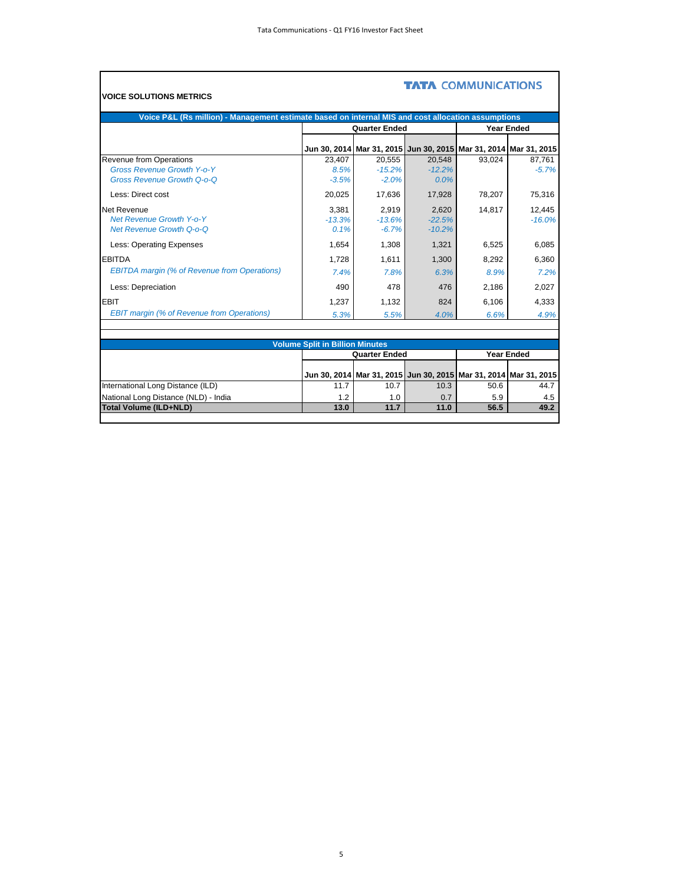| Voice P&L (Rs million) - Management estimate based on internal MIS and cost allocation assumptions |                                        |                                                                          |          |        |                   |
|----------------------------------------------------------------------------------------------------|----------------------------------------|--------------------------------------------------------------------------|----------|--------|-------------------|
|                                                                                                    |                                        | <b>Quarter Ended</b>                                                     |          |        | <b>Year Ended</b> |
|                                                                                                    |                                        | Jun 30, 2014   Mar 31, 2015   Jun 30, 2015   Mar 31, 2014   Mar 31, 2015 |          |        |                   |
| Revenue from Operations                                                                            | 23,407                                 | 20,555                                                                   | 20,548   | 93,024 | 87,761            |
| <b>Gross Revenue Growth Y-o-Y</b>                                                                  | 8.5%                                   | $-15.2%$                                                                 | $-12.2%$ |        | $-5.7%$           |
| <b>Gross Revenue Growth Q-o-Q</b>                                                                  | $-3.5%$                                | $-2.0%$                                                                  | 0.0%     |        |                   |
| Less: Direct cost                                                                                  | 20,025                                 | 17,636                                                                   | 17,928   | 78,207 | 75,316            |
| Net Revenue                                                                                        | 3,381                                  | 2,919                                                                    | 2,620    | 14,817 | 12,445            |
| <b>Net Revenue Growth Y-o-Y</b>                                                                    | $-13.3%$                               | $-13.6%$                                                                 | $-22.5%$ |        | $-16.0%$          |
| <b>Net Revenue Growth Q-o-Q</b>                                                                    | 0.1%                                   | $-6.7%$                                                                  | $-10.2%$ |        |                   |
| Less: Operating Expenses                                                                           | 1,654                                  | 1,308                                                                    | 1,321    | 6,525  | 6,085             |
| <b>EBITDA</b>                                                                                      | 1,728                                  | 1,611                                                                    | 1,300    | 8,292  | 6,360             |
| <b>EBITDA</b> margin (% of Revenue from Operations)                                                | 7.4%                                   | 7.8%                                                                     | 6.3%     | 8.9%   | 7.2%              |
| Less: Depreciation                                                                                 | 490                                    | 478                                                                      | 476      | 2,186  | 2,027             |
| <b>EBIT</b>                                                                                        | 1,237                                  | 1,132                                                                    | 824      | 6,106  | 4,333             |
| <b>EBIT margin (% of Revenue from Operations)</b>                                                  | 5.3%                                   | 5.5%                                                                     | 4.0%     | 6.6%   | 4.9%              |
|                                                                                                    |                                        |                                                                          |          |        |                   |
|                                                                                                    | <b>Volume Split in Billion Minutes</b> |                                                                          |          |        |                   |
|                                                                                                    |                                        | <b>Quarter Ended</b>                                                     |          |        | <b>Year Ended</b> |
|                                                                                                    |                                        |                                                                          |          |        |                   |
|                                                                                                    |                                        | Jun 30, 2014   Mar 31, 2015   Jun 30, 2015   Mar 31, 2014   Mar 31, 2015 |          |        |                   |
| International Long Distance (ILD)                                                                  | 11.7                                   | 10.7                                                                     | 10.3     | 50.6   | 44.7              |

National Long Distance (NLD) - India 1.2 1.0 0.7 5.9 4.5 **Total Volume (ILD+NLD) 13.0 11.7 11.0 56.5 49.2**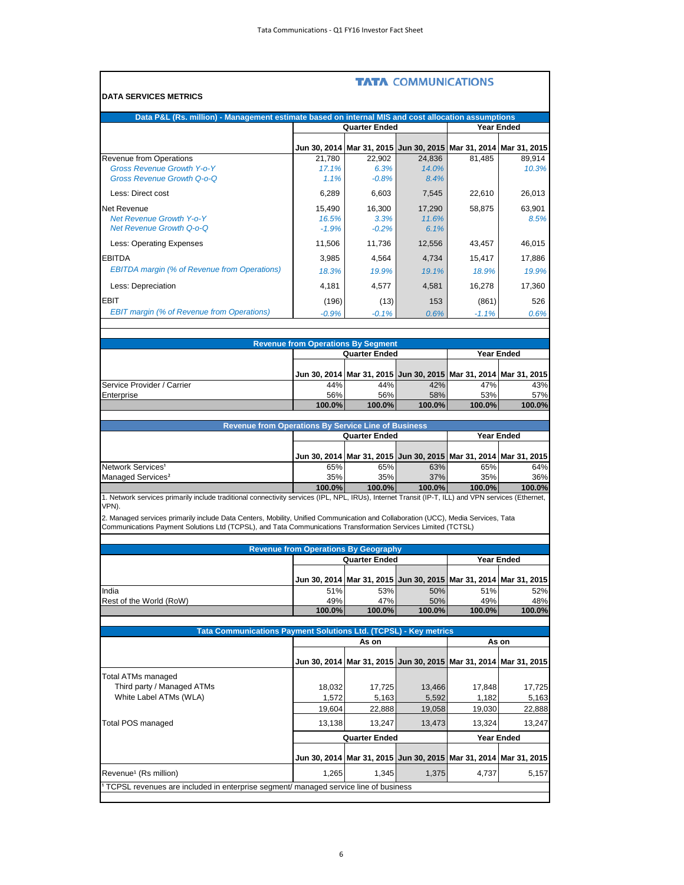|                                                                                                                                                             |                                             |                                                                          | <b>TATA COMMUNICATIONS</b>                          |                  |                     |  |
|-------------------------------------------------------------------------------------------------------------------------------------------------------------|---------------------------------------------|--------------------------------------------------------------------------|-----------------------------------------------------|------------------|---------------------|--|
| <b>DATA SERVICES METRICS</b>                                                                                                                                |                                             |                                                                          |                                                     |                  |                     |  |
| Data P&L (Rs. million) - Management estimate based on internal MIS and cost allocation assumptions                                                          |                                             |                                                                          |                                                     |                  |                     |  |
|                                                                                                                                                             | <b>Quarter Ended</b><br><b>Year Ended</b>   |                                                                          |                                                     |                  |                     |  |
|                                                                                                                                                             | Jun 30, 2014                                |                                                                          | Mar 31, 2015 Jun 30, 2015 Mar 31, 2014 Mar 31, 2015 |                  |                     |  |
| Revenue from Operations                                                                                                                                     | 21,780                                      | 22.902                                                                   | 24,836                                              | 81.485           | 89.914              |  |
| <b>Gross Revenue Growth Y-o-Y</b><br><b>Gross Revenue Growth Q-o-Q</b>                                                                                      | 17.1%<br>1.1%                               | 6.3%<br>$-0.8%$                                                          | 14.0%<br>8.4%                                       |                  | 10.3%               |  |
| Less: Direct cost                                                                                                                                           | 6,289                                       | 6,603                                                                    | 7,545                                               | 22.610           | 26,013              |  |
| Net Revenue                                                                                                                                                 | 15,490                                      | 16,300                                                                   | 17,290                                              | 58,875           | 63,901              |  |
| <b>Net Revenue Growth Y-o-Y</b><br><b>Net Revenue Growth Q-o-Q</b>                                                                                          | 16.5%<br>$-1.9%$                            | 3.3%<br>$-0.2%$                                                          | 11.6%<br>6.1%                                       |                  | 8.5%                |  |
| Less: Operating Expenses                                                                                                                                    | 11,506                                      | 11,736                                                                   | 12,556                                              | 43,457           | 46,015              |  |
|                                                                                                                                                             |                                             |                                                                          |                                                     |                  |                     |  |
| <b>EBITDA</b><br><b>EBITDA</b> margin (% of Revenue from Operations)                                                                                        | 3,985                                       | 4,564                                                                    | 4,734                                               | 15,417           | 17,886              |  |
|                                                                                                                                                             | 18.3%                                       | 19.9%                                                                    | 19.1%                                               | 18.9%            | 19.9%               |  |
| Less: Depreciation                                                                                                                                          | 4,181                                       | 4,577                                                                    | 4,581                                               | 16,278           | 17,360              |  |
| <b>EBIT</b><br><b>EBIT margin (% of Revenue from Operations)</b>                                                                                            | (196)<br>$-0.9%$                            | (13)<br>$-0.1%$                                                          | 153<br>0.6%                                         | (861)<br>$-1.1%$ | 526<br>0.6%         |  |
|                                                                                                                                                             |                                             |                                                                          |                                                     |                  |                     |  |
|                                                                                                                                                             | <b>Revenue from Operations By Segment</b>   |                                                                          |                                                     |                  |                     |  |
|                                                                                                                                                             |                                             | <b>Quarter Ended</b>                                                     |                                                     |                  | <b>Year Ended</b>   |  |
|                                                                                                                                                             |                                             | Jun 30, 2014   Mar 31, 2015   Jun 30, 2015   Mar 31, 2014   Mar 31, 2015 |                                                     |                  |                     |  |
| Service Provider / Carrier                                                                                                                                  | 44%                                         | 44%                                                                      | 42%                                                 | 47%              | 43%                 |  |
| Enterprise                                                                                                                                                  | 56%<br>100.0%                               | 56%<br>100.0%                                                            | 58%<br>100.0%                                       | 53%<br>100.0%    | 57%<br>100.0%       |  |
|                                                                                                                                                             |                                             |                                                                          |                                                     |                  |                     |  |
| <b>Revenue from Operations By Service Line of Business</b>                                                                                                  |                                             |                                                                          |                                                     |                  |                     |  |
|                                                                                                                                                             |                                             | <b>Quarter Ended</b>                                                     |                                                     |                  | <b>Year Ended</b>   |  |
|                                                                                                                                                             |                                             | Jun 30, 2014   Mar 31, 2015   Jun 30, 2015   Mar 31, 2014   Mar 31, 2015 |                                                     |                  |                     |  |
| Network Services <sup>1</sup><br>Managed Services <sup>2</sup>                                                                                              | 65%<br>35%                                  | 65%<br>35%                                                               | 63%<br>37%                                          | 65%<br>35%       | 64%<br>36%          |  |
|                                                                                                                                                             | 100.0%                                      | 100.0%                                                                   | 100.0%                                              | 100.0%           | 100.0%              |  |
| 1. Network services primarily include traditional connectivity services (IPL, NPL, IRUs), Internet Transit (IP-T, ILL) and VPN services (Ethernet,<br>VPN). |                                             |                                                                          |                                                     |                  |                     |  |
| 2. Managed services primarily include Data Centers, Mobility, Unified Communication and Collaboration (UCC), Media Services, Tata                           |                                             |                                                                          |                                                     |                  |                     |  |
| Communications Payment Solutions Ltd (TCPSL), and Tata Communications Transformation Services Limited (TCTSL)                                               |                                             |                                                                          |                                                     |                  |                     |  |
|                                                                                                                                                             |                                             |                                                                          |                                                     |                  |                     |  |
|                                                                                                                                                             | <b>Revenue from Operations By Geography</b> | <b>Quarter Ended</b>                                                     |                                                     |                  | <b>Year Ended</b>   |  |
|                                                                                                                                                             |                                             |                                                                          |                                                     |                  |                     |  |
| India                                                                                                                                                       | Jun 30, 2014<br>51%                         | 53%                                                                      | Mar 31, 2015 Jun 30, 2015 Mar 31, 2014<br>50%       | 51%              | Mar 31, 2015<br>52% |  |
| Rest of the World (RoW)                                                                                                                                     | 49%                                         | 47%                                                                      | 50%                                                 | 49%              | 48%                 |  |
|                                                                                                                                                             | 100.0%                                      | 100.0%                                                                   | 100.0%                                              | 100.0%           | 100.0%              |  |
| Tata Communications Payment Solutions Ltd. (TCPSL) - Key metrics                                                                                            |                                             |                                                                          |                                                     |                  |                     |  |
|                                                                                                                                                             |                                             | As on                                                                    |                                                     |                  | As on               |  |
|                                                                                                                                                             | Jun 30, 2014                                |                                                                          | Mar 31, 2015 Jun 30, 2015 Mar 31, 2014 Mar 31, 2015 |                  |                     |  |
| Total ATMs managed                                                                                                                                          |                                             |                                                                          |                                                     |                  |                     |  |
| Third party / Managed ATMs                                                                                                                                  | 18,032                                      | 17,725                                                                   | 13,466                                              | 17,848           | 17,725              |  |
| White Label ATMs (WLA)                                                                                                                                      | 1,572                                       | 5,163                                                                    | 5,592                                               | 1,182            | 5,163               |  |
|                                                                                                                                                             | 19,604                                      | 22,888                                                                   | 19,058                                              | 19,030           | 22,888              |  |
| Total POS managed                                                                                                                                           | 13,138                                      | 13,247                                                                   | 13,473                                              | 13,324           | 13,247              |  |
|                                                                                                                                                             |                                             | <b>Quarter Ended</b>                                                     |                                                     |                  | <b>Year Ended</b>   |  |
|                                                                                                                                                             | Jun 30, 2014                                |                                                                          | Mar 31, 2015 Jun 30, 2015 Mar 31, 2014 Mar 31, 2015 |                  |                     |  |
| Revenue <sup>1</sup> (Rs million)                                                                                                                           | 1,265                                       | 1,345                                                                    | 1,375                                               | 4,737            | 5,157               |  |
| TCPSL revenues are included in enterprise segment/ managed service line of business                                                                         |                                             |                                                                          |                                                     |                  |                     |  |
|                                                                                                                                                             |                                             |                                                                          |                                                     |                  |                     |  |